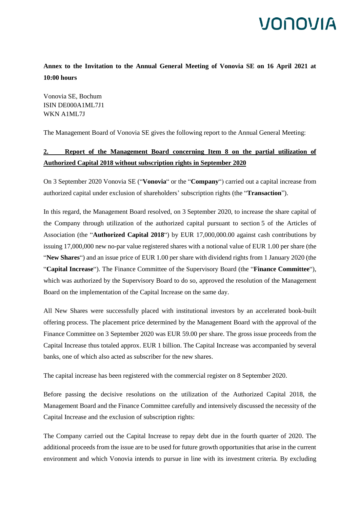## **IONOVIA**

**Annex to the Invitation to the Annual General Meeting of Vonovia SE on 16 April 2021 at 10:00 hours**

Vonovia SE, Bochum ISIN DE000A1ML7J1 WKN A1ML7J

The Management Board of Vonovia SE gives the following report to the Annual General Meeting:

## **2. Report of the Management Board concerning Item 8 on the partial utilization of Authorized Capital 2018 without subscription rights in September 2020**

On 3 September 2020 Vonovia SE ("**Vonovia**" or the "**Company**") carried out a capital increase from authorized capital under exclusion of shareholders' subscription rights (the "**Transaction**").

In this regard, the Management Board resolved, on 3 September 2020, to increase the share capital of the Company through utilization of the authorized capital pursuant to section 5 of the Articles of Association (the "**Authorized Capital 2018**") by EUR 17,000,000.00 against cash contributions by issuing 17,000,000 new no-par value registered shares with a notional value of EUR 1.00 per share (the "**New Shares**") and an issue price of EUR 1.00 per share with dividend rights from 1 January 2020 (the "**Capital Increase**"). The Finance Committee of the Supervisory Board (the "**Finance Committee**"), which was authorized by the Supervisory Board to do so, approved the resolution of the Management Board on the implementation of the Capital Increase on the same day.

All New Shares were successfully placed with institutional investors by an accelerated book-built offering process. The placement price determined by the Management Board with the approval of the Finance Committee on 3 September 2020 was EUR 59.00 per share. The gross issue proceeds from the Capital Increase thus totaled approx. EUR 1 billion. The Capital Increase was accompanied by several banks, one of which also acted as subscriber for the new shares.

The capital increase has been registered with the commercial register on 8 September 2020.

Before passing the decisive resolutions on the utilization of the Authorized Capital 2018, the Management Board and the Finance Committee carefully and intensively discussed the necessity of the Capital Increase and the exclusion of subscription rights:

The Company carried out the Capital Increase to repay debt due in the fourth quarter of 2020. The additional proceeds from the issue are to be used for future growth opportunities that arise in the current environment and which Vonovia intends to pursue in line with its investment criteria. By excluding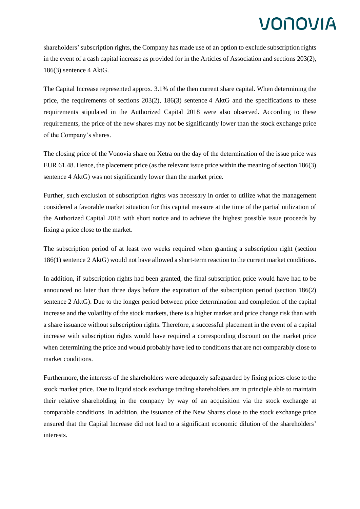## VONOVIA

shareholders' subscription rights, the Company has made use of an option to exclude subscription rights in the event of a cash capital increase as provided for in the Articles of Association and sections 203(2), 186(3) sentence 4 AktG.

The Capital Increase represented approx. 3.1% of the then current share capital. When determining the price, the requirements of sections 203(2), 186(3) sentence 4 AktG and the specifications to these requirements stipulated in the Authorized Capital 2018 were also observed. According to these requirements, the price of the new shares may not be significantly lower than the stock exchange price of the Company's shares.

The closing price of the Vonovia share on Xetra on the day of the determination of the issue price was EUR 61.48. Hence, the placement price (as the relevant issue price within the meaning of section 186(3) sentence 4 AktG) was not significantly lower than the market price.

Further, such exclusion of subscription rights was necessary in order to utilize what the management considered a favorable market situation for this capital measure at the time of the partial utilization of the Authorized Capital 2018 with short notice and to achieve the highest possible issue proceeds by fixing a price close to the market.

The subscription period of at least two weeks required when granting a subscription right (section 186(1) sentence 2 AktG) would not have allowed a short-term reaction to the current market conditions.

In addition, if subscription rights had been granted, the final subscription price would have had to be announced no later than three days before the expiration of the subscription period (section 186(2) sentence 2 AktG). Due to the longer period between price determination and completion of the capital increase and the volatility of the stock markets, there is a higher market and price change risk than with a share issuance without subscription rights. Therefore, a successful placement in the event of a capital increase with subscription rights would have required a corresponding discount on the market price when determining the price and would probably have led to conditions that are not comparably close to market conditions.

Furthermore, the interests of the shareholders were adequately safeguarded by fixing prices close to the stock market price. Due to liquid stock exchange trading shareholders are in principle able to maintain their relative shareholding in the company by way of an acquisition via the stock exchange at comparable conditions. In addition, the issuance of the New Shares close to the stock exchange price ensured that the Capital Increase did not lead to a significant economic dilution of the shareholders' interests.